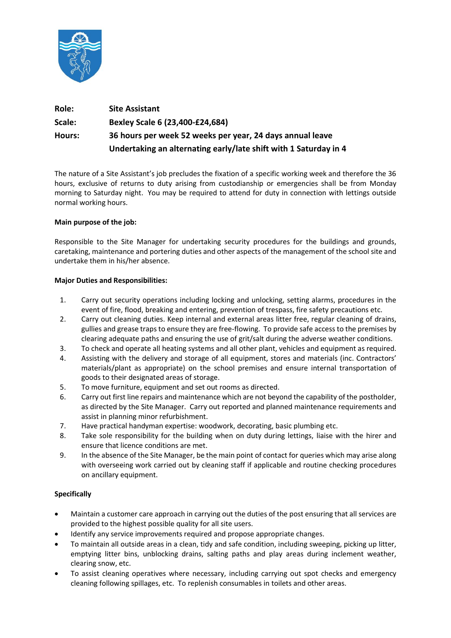

| Role:  | <b>Site Assistant</b>                                            |
|--------|------------------------------------------------------------------|
| Scale: | Bexley Scale 6 (23,400-£24,684)                                  |
| Hours: | 36 hours per week 52 weeks per year, 24 days annual leave        |
|        | Undertaking an alternating early/late shift with 1 Saturday in 4 |

The nature of a Site Assistant's job precludes the fixation of a specific working week and therefore the 36 hours, exclusive of returns to duty arising from custodianship or emergencies shall be from Monday morning to Saturday night. You may be required to attend for duty in connection with lettings outside normal working hours.

### **Main purpose of the job:**

Responsible to the Site Manager for undertaking security procedures for the buildings and grounds, caretaking, maintenance and portering duties and other aspects of the management of the school site and undertake them in his/her absence.

### **Major Duties and Responsibilities:**

- 1. Carry out security operations including locking and unlocking, setting alarms, procedures in the event of fire, flood, breaking and entering, prevention of trespass, fire safety precautions etc.
- 2. Carry out cleaning duties. Keep internal and external areas litter free, regular cleaning of drains, gullies and grease traps to ensure they are free-flowing. To provide safe access to the premises by clearing adequate paths and ensuring the use of grit/salt during the adverse weather conditions.
- 3. To check and operate all heating systems and all other plant, vehicles and equipment as required.
- 4. Assisting with the delivery and storage of all equipment, stores and materials (inc. Contractors' materials/plant as appropriate) on the school premises and ensure internal transportation of goods to their designated areas of storage.
- 5. To move furniture, equipment and set out rooms as directed.
- 6. Carry out first line repairs and maintenance which are not beyond the capability of the postholder, as directed by the Site Manager. Carry out reported and planned maintenance requirements and assist in planning minor refurbishment.
- 7. Have practical handyman expertise: woodwork, decorating, basic plumbing etc.
- 8. Take sole responsibility for the building when on duty during lettings, liaise with the hirer and ensure that licence conditions are met.
- 9. In the absence of the Site Manager, be the main point of contact for queries which may arise along with overseeing work carried out by cleaning staff if applicable and routine checking procedures on ancillary equipment.

## **Specifically**

- Maintain a customer care approach in carrying out the duties of the post ensuring that all services are provided to the highest possible quality for all site users.
- Identify any service improvements required and propose appropriate changes.
- To maintain all outside areas in a clean, tidy and safe condition, including sweeping, picking up litter, emptying litter bins, unblocking drains, salting paths and play areas during inclement weather, clearing snow, etc.
- To assist cleaning operatives where necessary, including carrying out spot checks and emergency cleaning following spillages, etc. To replenish consumables in toilets and other areas.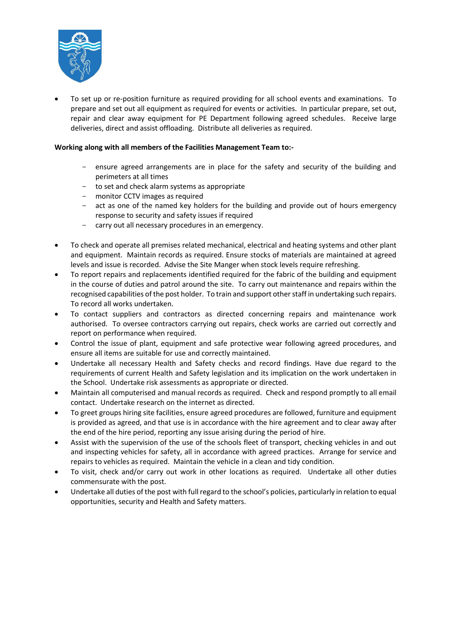

• To set up or re-position furniture as required providing for all school events and examinations. To prepare and set out all equipment as required for events or activities. In particular prepare, set out, repair and clear away equipment for PE Department following agreed schedules. Receive large deliveries, direct and assist offloading. Distribute all deliveries as required.

## **Working along with all members of the Facilities Management Team to:-**

- ensure agreed arrangements are in place for the safety and security of the building and perimeters at all times
- to set and check alarm systems as appropriate
- monitor CCTV images as required
- act as one of the named key holders for the building and provide out of hours emergency response to security and safety issues if required
- carry out all necessary procedures in an emergency.
- To check and operate all premises related mechanical, electrical and heating systems and other plant and equipment. Maintain records as required. Ensure stocks of materials are maintained at agreed levels and issue is recorded. Advise the Site Manger when stock levels require refreshing.
- To report repairs and replacements identified required for the fabric of the building and equipment in the course of duties and patrol around the site. To carry out maintenance and repairs within the recognised capabilities of the post holder. To train and support other staff in undertaking such repairs. To record all works undertaken.
- To contact suppliers and contractors as directed concerning repairs and maintenance work authorised. To oversee contractors carrying out repairs, check works are carried out correctly and report on performance when required.
- Control the issue of plant, equipment and safe protective wear following agreed procedures, and ensure all items are suitable for use and correctly maintained.
- Undertake all necessary Health and Safety checks and record findings. Have due regard to the requirements of current Health and Safety legislation and its implication on the work undertaken in the School. Undertake risk assessments as appropriate or directed.
- Maintain all computerised and manual records as required. Check and respond promptly to all email contact. Undertake research on the internet as directed.
- To greet groups hiring site facilities, ensure agreed procedures are followed, furniture and equipment is provided as agreed, and that use is in accordance with the hire agreement and to clear away after the end of the hire period, reporting any issue arising during the period of hire.
- Assist with the supervision of the use of the schools fleet of transport, checking vehicles in and out and inspecting vehicles for safety, all in accordance with agreed practices. Arrange for service and repairs to vehicles as required. Maintain the vehicle in a clean and tidy condition.
- To visit, check and/or carry out work in other locations as required. Undertake all other duties commensurate with the post.
- Undertake all duties of the post with full regard to the school's policies, particularly in relation to equal opportunities, security and Health and Safety matters.